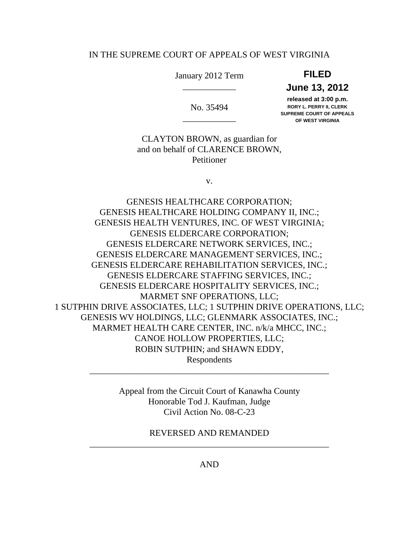#### IN THE SUPREME COURT OF APPEALS OF WEST VIRGINIA

January 2012 Term **FILED** 

# \_\_\_\_\_\_\_\_\_\_\_\_ **June 13, 2012**

 **released at 3:00 p.m.**  No. 35494 **RORY L. PERRY II, CLERK SUPREME COURT OF APPEALS 30FREME COONT OF AFF**<br>OF WEST VIRGINIA

 CLAYTON BROWN, as guardian for and on behalf of CLARENCE BROWN, Petitioner

v.

 GENESIS HEALTHCARE HOLDING COMPANY II, INC.; GENESIS HEALTH VENTURES, INC. OF WEST VIRGINIA; GENESIS ELDERCARE NETWORK SERVICES, INC.; GENESIS ELDERCARE MANAGEMENT SERVICES, INC.; GENESIS ELDERCARE REHABILITATION SERVICES, INC.; GENESIS ELDERCARE STAFFING SERVICES, INC.; GENESIS ELDERCARE HOSPITALITY SERVICES, INC.; MARMET SNF OPERATIONS, LLC; 1 SUTPHIN DRIVE ASSOCIATES, LLC; 1 SUTPHIN DRIVE OPERATIONS, LLC; GENESIS WV HOLDINGS, LLC; GLENMARK ASSOCIATES, INC.; MARMET HEALTH CARE CENTER, INC. n/k/a MHCC, INC.; CANOE HOLLOW PROPERTIES, LLC; ROBIN SUTPHIN; and SHAWN EDDY, GENESIS HEALTHCARE CORPORATION; GENESIS ELDERCARE CORPORATION; Respondents

> Appeal from the Circuit Court of Kanawha County Honorable Tod J. Kaufman, Judge Civil Action No. 08-C-23

\_\_\_\_\_\_\_\_\_\_\_\_\_\_\_\_\_\_\_\_\_\_\_\_\_\_\_\_\_\_\_\_\_\_\_\_\_\_\_\_\_\_\_\_\_\_\_\_\_\_\_\_\_\_

 REVERSED AND REMANDED \_\_\_\_\_\_\_\_\_\_\_\_\_\_\_\_\_\_\_\_\_\_\_\_\_\_\_\_\_\_\_\_\_\_\_\_\_\_\_\_\_\_\_\_\_\_\_\_\_\_\_\_\_\_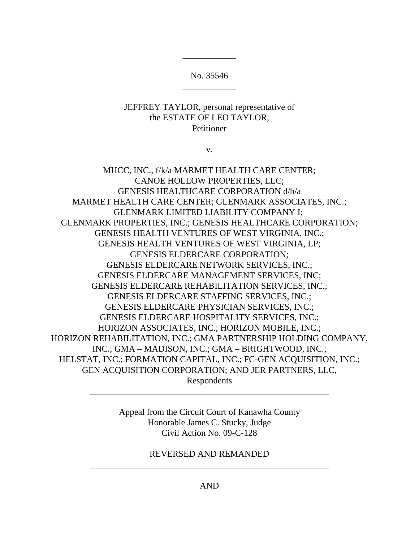\_\_\_\_\_\_\_\_\_\_\_\_ No. 35546

\_\_\_\_\_\_\_\_\_\_\_\_

### JEFFREY TAYLOR, personal representative of the ESTATE OF LEO TAYLOR, Petitioner

v.

 MHCC, INC., f/k/a MARMET HEALTH CARE CENTER; CANOE HOLLOW PROPERTIES, LLC; MARMET HEALTH CARE CENTER; GLENMARK ASSOCIATES, INC.; GLENMARK LIMITED LIABILITY COMPANY I; GLENMARK PROPERTIES, INC.; GENESIS HEALTHCARE CORPORATION; GENESIS HEALTH VENTURES OF WEST VIRGINIA, INC.; GENESIS HEALTH VENTURES OF WEST VIRGINIA, LP; GENESIS ELDERCARE NETWORK SERVICES, INC.; GENESIS ELDERCARE MANAGEMENT SERVICES, INC; GENESIS ELDERCARE REHABILITATION SERVICES, INC.; GENESIS ELDERCARE STAFFING SERVICES, INC.; GENESIS ELDERCARE PHYSICIAN SERVICES, INC.; GENESIS ELDERCARE HOSPITALITY SERVICES, INC.; HORIZON ASSOCIATES, INC.; HORIZON MOBILE, INC.; HORIZON REHABILITATION, INC.; GMA PARTNERSHIP HOLDING COMPANY, INC.; GMA – MADISON, INC.; GMA – BRIGHTWOOD, INC.; HELSTAT, INC.; FORMATION CAPITAL, INC.; FC-GEN ACQUISITION, INC.; GEN ACQUISITION CORPORATION; AND JER PARTNERS, LLC, GENESIS HEALTHCARE CORPORATION d/b/a GENESIS ELDERCARE CORPORATION; Respondents

> Appeal from the Circuit Court of Kanawha County Honorable James C. Stucky, Judge Civil Action No. 09-C-128

\_\_\_\_\_\_\_\_\_\_\_\_\_\_\_\_\_\_\_\_\_\_\_\_\_\_\_\_\_\_\_\_\_\_\_\_\_\_\_\_\_\_\_\_\_\_\_\_\_\_\_\_\_\_

 REVERSED AND REMANDED \_\_\_\_\_\_\_\_\_\_\_\_\_\_\_\_\_\_\_\_\_\_\_\_\_\_\_\_\_\_\_\_\_\_\_\_\_\_\_\_\_\_\_\_\_\_\_\_\_\_\_\_\_\_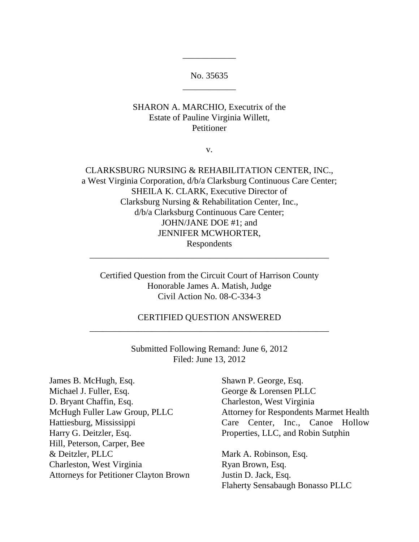\_\_\_\_\_\_\_\_\_\_\_\_ No. 35635

\_\_\_\_\_\_\_\_\_\_\_\_

## SHARON A. MARCHIO, Executrix of the Estate of Pauline Virginia Willett, Petitioner

v.

## CLARKSBURG NURSING & REHABILITATION CENTER, INC., a West Virginia Corporation, d/b/a Clarksburg Continuous Care Center; SHEILA K. CLARK, Executive Director of Clarksburg Nursing & Rehabilitation Center, Inc., d/b/a Clarksburg Continuous Care Center; JOHN/JANE DOE #1; and JENNIFER MCWHORTER, Respondents

 Certified Question from the Circuit Court of Harrison County Honorable James A. Matish, Judge Civil Action No. 08-C-334-3

\_\_\_\_\_\_\_\_\_\_\_\_\_\_\_\_\_\_\_\_\_\_\_\_\_\_\_\_\_\_\_\_\_\_\_\_\_\_\_\_\_\_\_\_\_\_\_\_\_\_\_\_\_\_

# \_\_\_\_\_\_\_\_\_\_\_\_\_\_\_\_\_\_\_\_\_\_\_\_\_\_\_\_\_\_\_\_\_\_\_\_\_\_\_\_\_\_\_\_\_\_\_\_\_\_\_\_\_\_ CERTIFIED QUESTION ANSWERED

 Submitted Following Remand: June 6, 2012 Filed: June 13, 2012

James B. McHugh, Esq. Michael J. Fuller, Esq. D. Bryant Chaffin, Esq. McHugh Fuller Law Group, PLLC Harry G. Deitzler, Esq. Hill, Peterson, Carper, Bee & Deitzler, PLLC Charleston, West Virginia Ryan Brown, Esq. Attorneys for Petitioner Clayton Brown Justin D. Jack, Esq. James B. McHugh, Esq. Shawn P. George, Esq. Michael J. Fuller, Esq. George & Lorensen PLLC D. Bryant Chaffin, Esq. Charleston, West Virginia Harry G. Deitzler, Esq. The Properties, LLC, and Robin Sutphin & Deitzler, PLLC Mark A. Robinson, Esq.

McHugh Fuller Law Group, PLLC Attorney for Respondents Marmet Health Hattiesburg, Mississippi Care Center, Inc., Canoe Hollow

> Ryan Brown, Esq. Justin D. Jack, Esq. Flaherty Sensabaugh Bonasso PLLC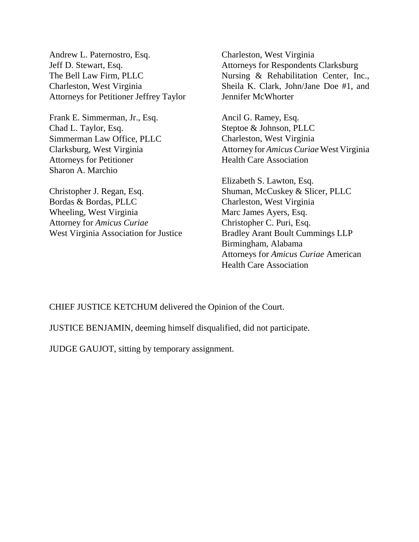Andrew L. Paternostro, Esq. Jeff D. Stewart, Esq. The Bell Law Firm, PLLC Charleston, West Virginia Attorneys for Petitioner Jeffrey Taylor

 Frank E. Simmerman, Jr., Esq. Chad L. Taylor, Esq. Simmerman Law Office, PLLC Clarksburg, West Virginia Attorneys for Petitioner Sharon A. Marchio

 Christopher J. Regan, Esq. Bordas & Bordas, PLLC Wheeling, West Virginia Attorney for *Amicus Curiae*  West Virginia Association for Justice

 Charleston, West Virginia Attorneys for Respondents Clarksburg Nursing & Rehabilitation Center, Inc., Sheila K. Clark, John/Jane Doe #1, and Jennifer McWhorter

 Ancil G. Ramey, Esq. Steptoe & Johnson, PLLC Charleston, West Virginia Attorney for *Amicus Curiae* West Virginia Health Care Association

 Elizabeth S. Lawton, Esq. Shuman, McCuskey & Slicer, PLLC Charleston, West Virginia Marc James Ayers, Esq. Christopher C. Puri, Esq. Bradley Arant Boult Cummings LLP Attorneys for *Amicus Curiae* American Health Care Association Birmingham, Alabama

CHIEF JUSTICE KETCHUM delivered the Opinion of the Court.

JUSTICE BENJAMIN, deeming himself disqualified, did not participate.

JUDGE GAUJOT, sitting by temporary assignment.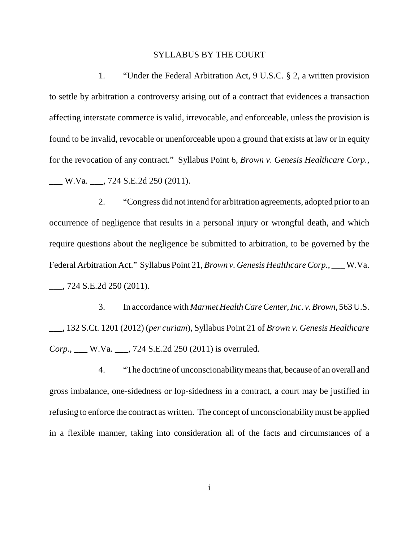#### SYLLABUS BY THE COURT

 1. "Under the Federal Arbitration Act, 9 U.S.C. § 2, a written provision to settle by arbitration a controversy arising out of a contract that evidences a transaction affecting interstate commerce is valid, irrevocable, and enforceable, unless the provision is found to be invalid, revocable or unenforceable upon a ground that exists at law or in equity for the revocation of any contract." Syllabus Point 6, *Brown v. Genesis Healthcare Corp.*, \_\_\_ W.Va. \_\_\_, 724 S.E.2d 250 (2011).

 2. "Congress did not intend for arbitration agreements, adopted prior to an occurrence of negligence that results in a personal injury or wrongful death, and which require questions about the negligence be submitted to arbitration, to be governed by the Federal Arbitration Act." Syllabus Point 21, *Brown v. Genesis Healthcare Corp.*, \_\_\_ W.Va. \_\_\_, 724 S.E.2d 250 (2011).

 3. In accordance with *Marmet Health Care Center, Inc. v. Brown*, 563 U.S. \_\_\_, 132 S.Ct. 1201 (2012) (*per curiam*), Syllabus Point 21 of *Brown v. Genesis Healthcare Corp.*, \_\_\_ W.Va. \_\_\_, 724 S.E.2d 250 (2011) is overruled.

 4. "The doctrine of unconscionabilitymeans that, because of an overall and gross imbalance, one-sidedness or lop-sidedness in a contract, a court may be justified in refusing to enforce the contract as written. The concept of unconscionability must be applied in a flexible manner, taking into consideration all of the facts and circumstances of a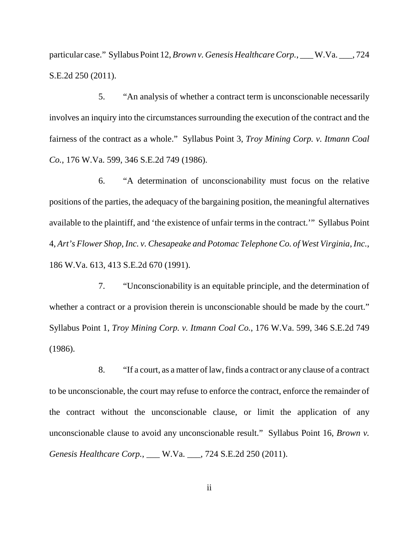particular case." Syllabus Point 12, *Brown v. Genesis Healthcare Corp.*, \_\_\_ W.Va. \_\_\_, 724 S.E.2d 250 (2011).

 5. "An analysis of whether a contract term is unconscionable necessarily involves an inquiry into the circumstances surrounding the execution of the contract and the fairness of the contract as a whole." Syllabus Point 3, *Troy Mining Corp. v. Itmann Coal Co.*, 176 W.Va. 599, 346 S.E.2d 749 (1986).

 6. "A determination of unconscionability must focus on the relative positions of the parties, the adequacy of the bargaining position, the meaningful alternatives available to the plaintiff, and 'the existence of unfair terms in the contract.'" Syllabus Point  4, *Art's Flower Shop, Inc. v. Chesapeake and Potomac Telephone Co. of West Virginia, Inc.*, 186 W.Va. 613, 413 S.E.2d 670 (1991).

 7. "Unconscionability is an equitable principle, and the determination of whether a contract or a provision therein is unconscionable should be made by the court." Syllabus Point 1, *Troy Mining Corp. v. Itmann Coal Co.*, 176 W.Va. 599, 346 S.E.2d 749 (1986).

 8. "If a court, as a matter of law, finds a contract or any clause of a contract to be unconscionable, the court may refuse to enforce the contract, enforce the remainder of the contract without the unconscionable clause, or limit the application of any unconscionable clause to avoid any unconscionable result." Syllabus Point 16, *Brown v. Genesis Healthcare Corp.*, \_\_\_ W.Va. \_\_\_, 724 S.E.2d 250 (2011).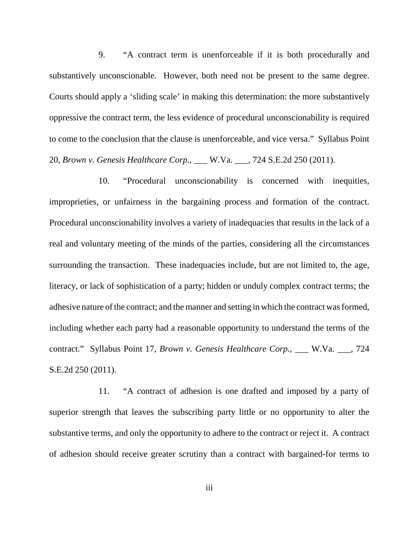9. "A contract term is unenforceable if it is both procedurally and substantively unconscionable. However, both need not be present to the same degree. Courts should apply a 'sliding scale' in making this determination: the more substantively oppressive the contract term, the less evidence of procedural unconscionability is required to come to the conclusion that the clause is unenforceable, and vice versa." Syllabus Point  20, *Brown v. Genesis Healthcare Corp.*, \_\_\_ W.Va. \_\_\_, 724 S.E.2d 250 (2011).

 10. "Procedural unconscionability is concerned with inequities, improprieties, or unfairness in the bargaining process and formation of the contract. Procedural unconscionability involves a variety of inadequacies that results in the lack of a real and voluntary meeting of the minds of the parties, considering all the circumstances surrounding the transaction. These inadequacies include, but are not limited to, the age, literacy, or lack of sophistication of a party; hidden or unduly complex contract terms; the adhesive nature of the contract; and the manner and setting in which the contract was formed, including whether each party had a reasonable opportunity to understand the terms of the contract." Syllabus Point 17, *Brown v. Genesis Healthcare Corp.*, \_\_\_ W.Va. \_\_\_, 724 S.E.2d 250 (2011).

 11. "A contract of adhesion is one drafted and imposed by a party of superior strength that leaves the subscribing party little or no opportunity to alter the substantive terms, and only the opportunity to adhere to the contract or reject it. A contract of adhesion should receive greater scrutiny than a contract with bargained-for terms to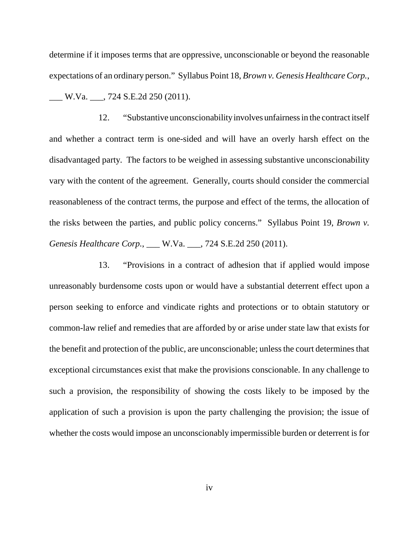determine if it imposes terms that are oppressive, unconscionable or beyond the reasonable expectations of an ordinary person." Syllabus Point 18, *Brown v. Genesis Healthcare Corp.*, \_\_\_ W.Va. \_\_\_, 724 S.E.2d 250 (2011).

 12. "Substantive unconscionabilityinvolves unfairness in the contract itself and whether a contract term is one-sided and will have an overly harsh effect on the disadvantaged party. The factors to be weighed in assessing substantive unconscionability vary with the content of the agreement. Generally, courts should consider the commercial reasonableness of the contract terms, the purpose and effect of the terms, the allocation of the risks between the parties, and public policy concerns." Syllabus Point 19, *Brown v. Genesis Healthcare Corp.*, \_\_\_ W.Va. \_\_\_, 724 S.E.2d 250 (2011).

 13. "Provisions in a contract of adhesion that if applied would impose unreasonably burdensome costs upon or would have a substantial deterrent effect upon a person seeking to enforce and vindicate rights and protections or to obtain statutory or common-law relief and remedies that are afforded by or arise under state law that exists for the benefit and protection of the public, are unconscionable; unless the court determines that exceptional circumstances exist that make the provisions conscionable. In any challenge to such a provision, the responsibility of showing the costs likely to be imposed by the application of such a provision is upon the party challenging the provision; the issue of whether the costs would impose an unconscionably impermissible burden or deterrent is for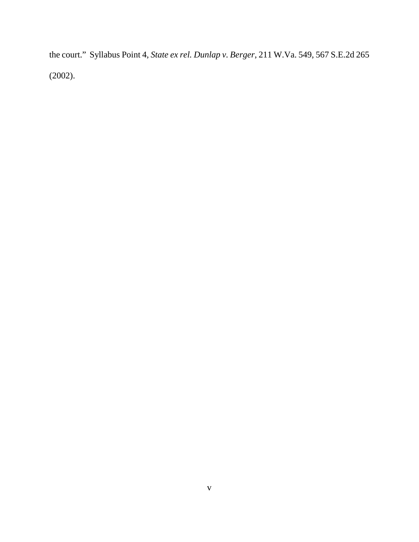the court." Syllabus Point 4, *State ex rel. Dunlap v. Berger*, 211 W.Va. 549, 567 S.E.2d 265 (2002).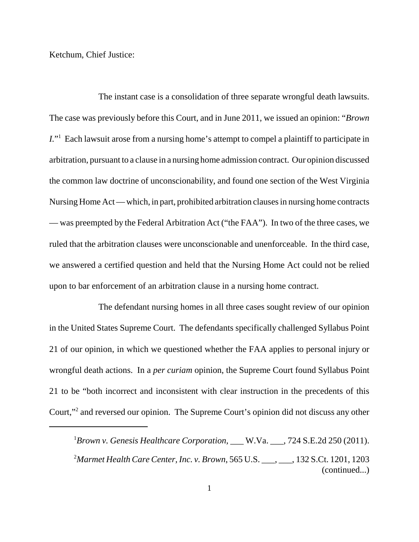Ketchum, Chief Justice:

 The instant case is a consolidation of three separate wrongful death lawsuits. The case was previously before this Court, and in June 2011, we issued an opinion: "*Brown I.*"1 Each lawsuit arose from a nursing home's attempt to compel a plaintiff to participate in arbitration, pursuant to a clause in a nursing home admission contract. Our opinion discussed the common law doctrine of unconscionability, and found one section of the West Virginia Nursing Home Act — which, in part, prohibited arbitration clauses in nursing home contracts — was preempted by the Federal Arbitration Act ("the FAA"). In two of the three cases, we ruled that the arbitration clauses were unconscionable and unenforceable. In the third case, we answered a certified question and held that the Nursing Home Act could not be relied upon to bar enforcement of an arbitration clause in a nursing home contract.

 The defendant nursing homes in all three cases sought review of our opinion in the United States Supreme Court. The defendants specifically challenged Syllabus Point 21 of our opinion, in which we questioned whether the FAA applies to personal injury or wrongful death actions. In a *per curiam* opinion, the Supreme Court found Syllabus Point 21 to be "both incorrect and inconsistent with clear instruction in the precedents of this Court,"2 and reversed our opinion. The Supreme Court's opinion did not discuss any other

<sup>&</sup>lt;sup>1</sup> Brown v. Genesis Healthcare Corporation, \_\_\_ W.Va. \_\_\_, 724 S.E.2d 250 (2011). <sup>2</sup>Marmet Health Care Center, Inc. v. Brown, 565 U.S. \_\_\_, \_\_\_, 132 S.Ct. 1201, 1203 (continued...)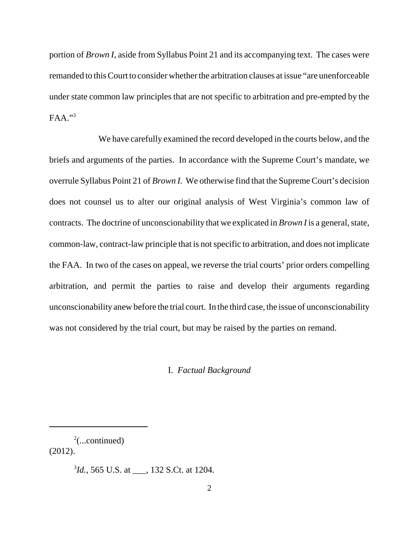portion of *Brown I*, aside from Syllabus Point 21 and its accompanying text. The cases were remanded to this Court to consider whether the arbitration clauses at issue "are unenforceable under state common law principles that are not specific to arbitration and pre-empted by the  $FAA.$ <sup>33</sup>

 We have carefully examined the record developed in the courts below, and the briefs and arguments of the parties. In accordance with the Supreme Court's mandate, we overrule Syllabus Point 21 of *Brown I.* We otherwise find that the Supreme Court's decision does not counsel us to alter our original analysis of West Virginia's common law of contracts. The doctrine of unconscionability that we explicated in *Brown I* is a general, state, common-law, contract-law principle that is not specific to arbitration, and does not implicate the FAA. In two of the cases on appeal, we reverse the trial courts' prior orders compelling arbitration, and permit the parties to raise and develop their arguments regarding unconscionability anew before the trial court. In the third case, the issue of unconscionability was not considered by the trial court, but may be raised by the parties on remand.

#### I. *Factual Background*

 $2$ (...continued) (2012).

3 *Id.*, 565 U.S. at \_\_\_, 132 S.Ct. at 1204.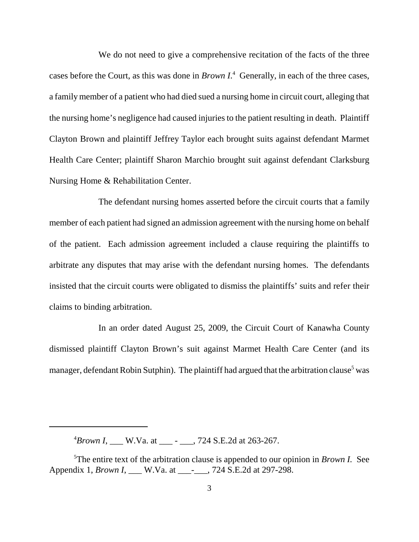We do not need to give a comprehensive recitation of the facts of the three cases before the Court, as this was done in *Brown I*. 4 Generally, in each of the three cases, a family member of a patient who had died sued a nursing home in circuit court, alleging that the nursing home's negligence had caused injuries to the patient resulting in death. Plaintiff Clayton Brown and plaintiff Jeffrey Taylor each brought suits against defendant Marmet Health Care Center; plaintiff Sharon Marchio brought suit against defendant Clarksburg Nursing Home & Rehabilitation Center.

 The defendant nursing homes asserted before the circuit courts that a family member of each patient had signed an admission agreement with the nursing home on behalf of the patient. Each admission agreement included a clause requiring the plaintiffs to arbitrate any disputes that may arise with the defendant nursing homes. The defendants insisted that the circuit courts were obligated to dismiss the plaintiffs' suits and refer their claims to binding arbitration.

 In an order dated August 25, 2009, the Circuit Court of Kanawha County dismissed plaintiff Clayton Brown's suit against Marmet Health Care Center (and its manager, defendant Robin Sutphin). The plaintiff had argued that the arbitration clause<sup>5</sup> was

 $^{4}$ *Brown I*, \_\_\_ W.Va. at \_\_\_ - \_\_\_, 724 S.E.2d at 263-267.

 5 The entire text of the arbitration clause is appended to our opinion in *Brown I.* See Appendix 1, *Brown I*, \_\_\_ W.Va. at \_\_\_-\_\_\_, 724 S.E.2d at 297-298.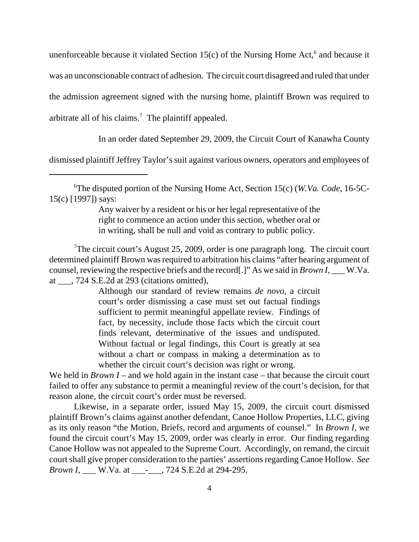unenforceable because it violated Section  $15(c)$  of the Nursing Home Act,<sup>6</sup> and because it was an unconscionable contract of adhesion. The circuit court disagreed and ruled that under the admission agreement signed with the nursing home, plaintiff Brown was required to arbitrate all of his claims.<sup>7</sup> The plaintiff appealed.

In an order dated September 29, 2009, the Circuit Court of Kanawha County

dismissed plaintiff Jeffrey Taylor's suit against various owners, operators and employees of

 Any waiver by a resident or his or her legal representative of the right to commence an action under this section, whether oral or in writing, shall be null and void as contrary to public policy.

<sup>7</sup>The circuit court's August 25, 2009, order is one paragraph long. The circuit court determined plaintiff Brown was required to arbitration his claims "after hearing argument of counsel, reviewing the respective briefs and the record[.]" As we said in *Brown I*, \_\_\_ W.Va. at \_\_\_, 724 S.E.2d at 293 (citations omitted),

> Although our standard of review remains *de novo*, a circuit court's order dismissing a case must set out factual findings sufficient to permit meaningful appellate review. Findings of fact, by necessity, include those facts which the circuit court finds relevant, determinative of the issues and undisputed. Without factual or legal findings, this Court is greatly at sea without a chart or compass in making a determination as to whether the circuit court's decision was right or wrong.

We held in *Brown I* – and we hold again in the instant case – that because the circuit court failed to offer any substance to permit a meaningful review of the court's decision, for that reason alone, the circuit court's order must be reversed.

 Likewise, in a separate order, issued May 15, 2009, the circuit court dismissed plaintiff Brown's claims against another defendant, Canoe Hollow Properties, LLC, giving as its only reason "the Motion, Briefs, record and arguments of counsel." In *Brown I*, we found the circuit court's May 15, 2009, order was clearly in error. Our finding regarding Canoe Hollow was not appealed to the Supreme Court. Accordingly, on remand, the circuit court shall give proper consideration to the parties' assertions regarding Canoe Hollow. *See Brown I*, \_\_\_ W.Va. at \_\_\_\_\_\_, 724 S.E.2d at 294-295.

 6 The disputed portion of the Nursing Home Act, Section 15(c) (*W.Va. Code*, 16-5C-15(c) [1997]) says: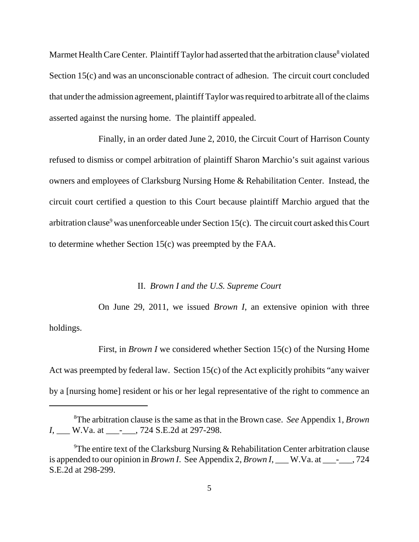Marmet Health Care Center. Plaintiff Taylor had asserted that the arbitration clause<sup>8</sup> violated Section 15(c) and was an unconscionable contract of adhesion. The circuit court concluded that under the admission agreement, plaintiff Taylor was required to arbitrate all of the claims asserted against the nursing home. The plaintiff appealed.

 Finally, in an order dated June 2, 2010, the Circuit Court of Harrison County refused to dismiss or compel arbitration of plaintiff Sharon Marchio's suit against various owners and employees of Clarksburg Nursing Home & Rehabilitation Center. Instead, the circuit court certified a question to this Court because plaintiff Marchio argued that the arbitration clause<sup>9</sup> was unenforceable under Section 15(c). The circuit court asked this Court to determine whether Section 15(c) was preempted by the FAA.

#### II. *Brown I and the U.S. Supreme Court*

 On June 29, 2011, we issued *Brown I*, an extensive opinion with three holdings.

First, in *Brown I* we considered whether Section 15(c) of the Nursing Home Act was preempted by federal law. Section 15(c) of the Act explicitly prohibits "any waiver by a [nursing home] resident or his or her legal representative of the right to commence an

 8 The arbitration clause is the same as that in the Brown case. *See* Appendix 1, *Brown I*, <u>\_\_\_</u> W.Va. at \_\_\_\_\_\_\_\_, 724 S.E.2d at 297-298.

<sup>&</sup>lt;sup>9</sup>The entire text of the Clarksburg Nursing & Rehabilitation Center arbitration clause is appended to our opinion in *Brown I*. See Appendix 2, *Brown I*, \_\_\_ W.Va. at \_\_\_-\_\_\_, 724 S.E.2d at 298-299.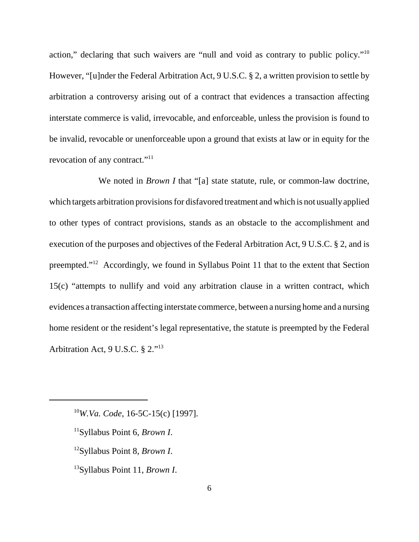action," declaring that such waivers are "null and void as contrary to public policy."<sup>10</sup> However, "[u]nder the Federal Arbitration Act, 9 U.S.C. § 2, a written provision to settle by arbitration a controversy arising out of a contract that evidences a transaction affecting interstate commerce is valid, irrevocable, and enforceable, unless the provision is found to be invalid, revocable or unenforceable upon a ground that exists at law or in equity for the revocation of any contract."<sup>11</sup>

We noted in *Brown I* that "[a] state statute, rule, or common-law doctrine, which targets arbitration provisions for disfavored treatment and which is not usuallyapplied to other types of contract provisions, stands as an obstacle to the accomplishment and execution of the purposes and objectives of the Federal Arbitration Act, 9 U.S.C. § 2, and is preempted."<sup>12</sup> Accordingly, we found in Syllabus Point 11 that to the extent that Section 15(c) "attempts to nullify and void any arbitration clause in a written contract, which evidences a transaction affecting interstate commerce, between a nursing home and a nursing home resident or the resident's legal representative, the statute is preempted by the Federal Arbitration Act, 9 U.S.C. § 2."13

<sup>10</sup>*W.Va. Code*, 16-5C-15(c) [1997].

- 11Syllabus Point 6, *Brown I*.
- 12Syllabus Point 8, *Brown I*.
- 13Syllabus Point 11, *Brown I*.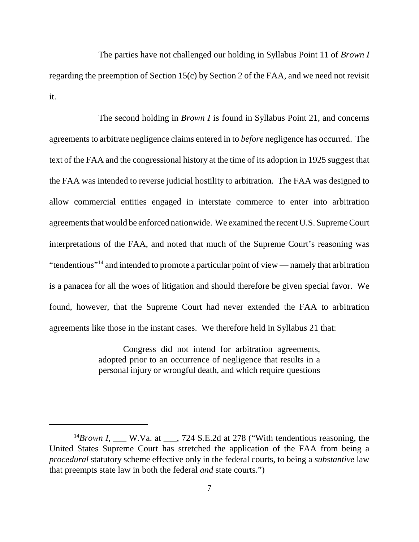The parties have not challenged our holding in Syllabus Point 11 of *Brown I*  regarding the preemption of Section 15(c) by Section 2 of the FAA, and we need not revisit it.

 The second holding in *Brown I* is found in Syllabus Point 21, and concerns agreements to arbitrate negligence claims entered in to *before* negligence has occurred. The text of the FAA and the congressional history at the time of its adoption in 1925 suggest that the FAA was intended to reverse judicial hostility to arbitration. The FAA was designed to allow commercial entities engaged in interstate commerce to enter into arbitration agreements that would be enforced nationwide. We examined the recent U.S. Supreme Court interpretations of the FAA, and noted that much of the Supreme Court's reasoning was "tendentious"<sup>14</sup> and intended to promote a particular point of view — namely that arbitration is a panacea for all the woes of litigation and should therefore be given special favor. We found, however, that the Supreme Court had never extended the FAA to arbitration agreements like those in the instant cases. We therefore held in Syllabus 21 that:

> Congress did not intend for arbitration agreements, adopted prior to an occurrence of negligence that results in a personal injury or wrongful death, and which require questions

<sup>&</sup>lt;sup>14</sup>Brown I, \_\_\_ W.Va. at \_\_\_, 724 S.E.2d at 278 ("With tendentious reasoning, the United States Supreme Court has stretched the application of the FAA from being a *procedural* statutory scheme effective only in the federal courts, to being a *substantive* law that preempts state law in both the federal *and* state courts.")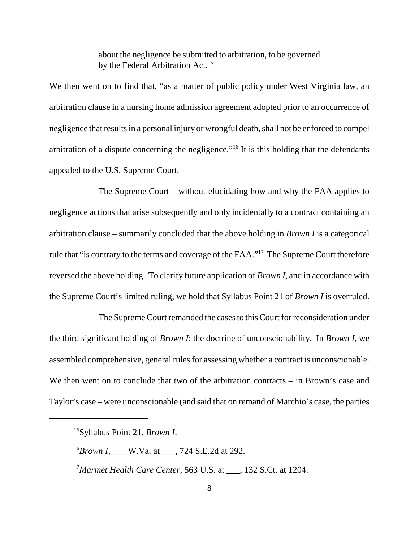about the negligence be submitted to arbitration, to be governed by the Federal Arbitration Act.<sup>15</sup>

 We then went on to find that, "as a matter of public policy under West Virginia law, an arbitration clause in a nursing home admission agreement adopted prior to an occurrence of negligence that results in a personal injury or wrongful death, shall not be enforced to compel arbitration of a dispute concerning the negligence."<sup>16</sup> It is this holding that the defendants appealed to the U.S. Supreme Court.

 The Supreme Court – without elucidating how and why the FAA applies to negligence actions that arise subsequently and only incidentally to a contract containing an arbitration clause – summarily concluded that the above holding in *Brown I* is a categorical rule that "is contrary to the terms and coverage of the FAA."<sup>17</sup> The Supreme Court therefore reversed the above holding. To clarify future application of *Brown I*, and in accordance with the Supreme Court's limited ruling, we hold that Syllabus Point 21 of *Brown I* is overruled.

 The Supreme Court remanded the cases to this Court for reconsideration under the third significant holding of *Brown I*: the doctrine of unconscionability. In *Brown I*, we assembled comprehensive, general rules for assessing whether a contract is unconscionable. We then went on to conclude that two of the arbitration contracts – in Brown's case and Taylor's case – were unconscionable (and said that on remand of Marchio's case, the parties

15Syllabus Point 21, *Brown I*.

<sup>16</sup>*Brown I*, \_\_\_ W.Va. at \_\_\_, 724 S.E.2d at 292.

<sup>17</sup> Marmet Health Care Center, 563 U.S. at \_\_\_, 132 S.Ct. at 1204.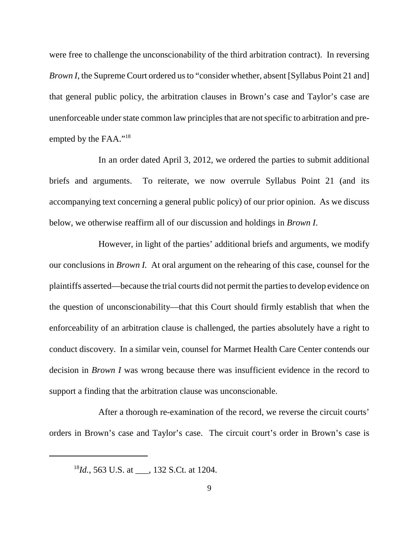were free to challenge the unconscionability of the third arbitration contract). In reversing *Brown I*, the Supreme Court ordered us to "consider whether, absent [Syllabus Point 21 and] that general public policy, the arbitration clauses in Brown's case and Taylor's case are unenforceable under state common law principles that are not specific to arbitration and preempted by the FAA."<sup>18</sup>

 In an order dated April 3, 2012, we ordered the parties to submit additional briefs and arguments. To reiterate, we now overrule Syllabus Point 21 (and its accompanying text concerning a general public policy) of our prior opinion. As we discuss below, we otherwise reaffirm all of our discussion and holdings in *Brown I*.

 However, in light of the parties' additional briefs and arguments, we modify our conclusions in *Brown I.* At oral argument on the rehearing of this case, counsel for the plaintiffs asserted—because the trial courts did not permit the parties to develop evidence on the question of unconscionability—that this Court should firmly establish that when the enforceability of an arbitration clause is challenged, the parties absolutely have a right to conduct discovery. In a similar vein, counsel for Marmet Health Care Center contends our decision in *Brown I* was wrong because there was insufficient evidence in the record to support a finding that the arbitration clause was unconscionable.

 After a thorough re-examination of the record, we reverse the circuit courts' orders in Brown's case and Taylor's case. The circuit court's order in Brown's case is

 <sup>18</sup>*Id.*, 563 U.S. at \_\_\_, 132 S.Ct. at 1204.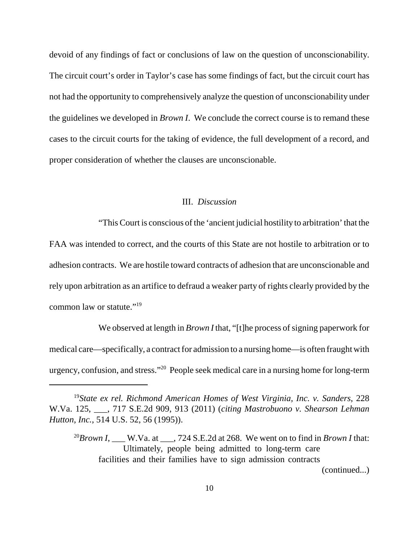devoid of any findings of fact or conclusions of law on the question of unconscionability. The circuit court's order in Taylor's case has some findings of fact, but the circuit court has not had the opportunity to comprehensively analyze the question of unconscionability under the guidelines we developed in *Brown I*. We conclude the correct course is to remand these cases to the circuit courts for the taking of evidence, the full development of a record, and proper consideration of whether the clauses are unconscionable.

#### III. *Discussion*

"This Court is conscious of the 'ancient judicial hostility to arbitration' that the

 FAA was intended to correct, and the courts of this State are not hostile to arbitration or to adhesion contracts. We are hostile toward contracts of adhesion that are unconscionable and rely upon arbitration as an artifice to defraud a weaker party of rights clearly provided by the common law or statute."<sup>19</sup>

 We observed at length in *Brown I* that, "[t]he process of signing paperwork for medical care—specifically, a contract for admission to a nursing home—is often fraught with urgency, confusion, and stress."20 People seek medical care in a nursing home for long-term

(continued...)

<sup>&</sup>lt;sup>19</sup>State ex rel. Richmond American Homes of West Virginia, Inc. v. Sanders, 228 W.Va. 125, \_\_\_, 717 S.E.2d 909, 913 (2011) (*citing Mastrobuono v. Shearson Lehman Hutton, Inc.*, 514 U.S. 52, 56 (1995)).

 <sup>20</sup>*Brown I*, \_\_\_ W.Va. at \_\_\_, 724 S.E.2d at 268. We went on to find in *Brown I* that: Ultimately, people being admitted to long-term care facilities and their families have to sign admission contracts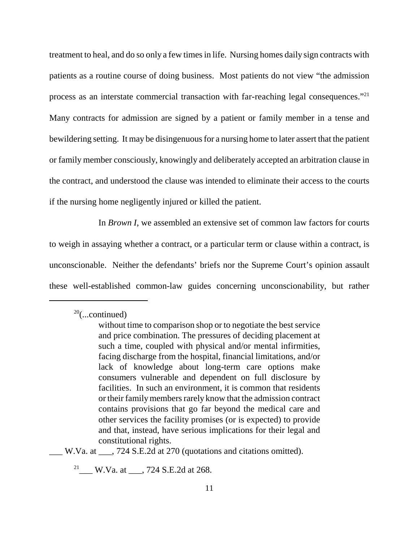treatment to heal, and do so only a few times in life. Nursing homes daily sign contracts with patients as a routine course of doing business. Most patients do not view "the admission process as an interstate commercial transaction with far-reaching legal consequences."<sup>21</sup> Many contracts for admission are signed by a patient or family member in a tense and bewildering setting. It may be disingenuous for a nursing home to later assert that the patient or family member consciously, knowingly and deliberately accepted an arbitration clause in the contract, and understood the clause was intended to eliminate their access to the courts if the nursing home negligently injured or killed the patient.

 In *Brown I*, we assembled an extensive set of common law factors for courts to weigh in assaying whether a contract, or a particular term or clause within a contract, is unconscionable. Neither the defendants' briefs nor the Supreme Court's opinion assault these well-established common-law guides concerning unconscionability, but rather

 $2<sup>21</sup>$  W.Va. at \_\_\_, 724 S.E.2d at 268.

 $20$ (...continued)

 without time to comparison shop or to negotiate the best service and price combination. The pressures of deciding placement at such a time, coupled with physical and/or mental infirmities, facing discharge from the hospital, financial limitations, and/or lack of knowledge about long-term care options make consumers vulnerable and dependent on full disclosure by facilities. In such an environment, it is common that residents or their family members rarely know that the admission contract contains provisions that go far beyond the medical care and other services the facility promises (or is expected) to provide and that, instead, have serious implications for their legal and constitutional rights.

 \_\_\_ W.Va. at \_\_\_, 724 S.E.2d at 270 (quotations and citations omitted).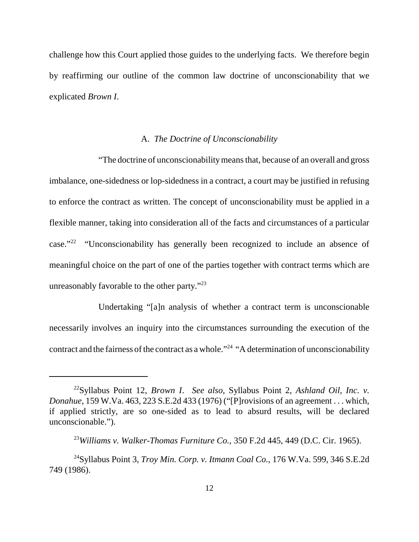challenge how this Court applied those guides to the underlying facts. We therefore begin by reaffirming our outline of the common law doctrine of unconscionability that we explicated *Brown I*.

#### A. *The Doctrine of Unconscionability*

 "The doctrine of unconscionability means that, because of an overall and gross imbalance, one-sidedness or lop-sidedness in a contract, a court may be justified in refusing to enforce the contract as written. The concept of unconscionability must be applied in a flexible manner, taking into consideration all of the facts and circumstances of a particular case." $22$  "Unconscionability has generally been recognized to include an absence of meaningful choice on the part of one of the parties together with contract terms which are unreasonably favorable to the other party."<sup>23</sup>

 Undertaking "[a]n analysis of whether a contract term is unconscionable necessarily involves an inquiry into the circumstances surrounding the execution of the contract and the fairness of the contract as a whole."<sup>24</sup> "A determination of unconscionability

 22Syllabus Point 12, *Brown I*. *See also*, Syllabus Point 2, *Ashland Oil, Inc. v. Donahue*, 159 W.Va. 463, 223 S.E.2d 433 (1976) ("[P]rovisions of an agreement . . . which, if applied strictly, are so one-sided as to lead to absurd results, will be declared unconscionable.").

 <sup>23</sup>*Williams v. Walker-Thomas Furniture Co.*, 350 F.2d 445, 449 (D.C. Cir. 1965).

 24Syllabus Point 3, *Troy Min. Corp. v. Itmann Coal Co.*, 176 W.Va. 599, 346 S.E.2d 749 (1986).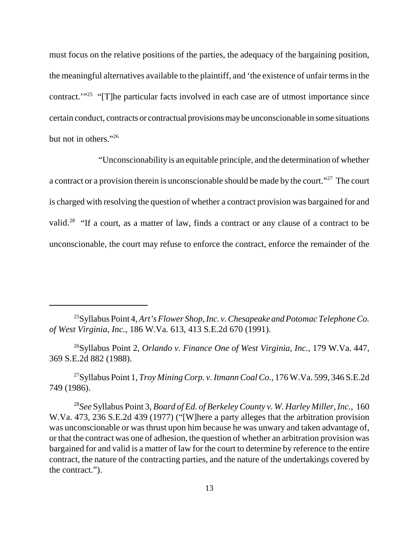must focus on the relative positions of the parties, the adequacy of the bargaining position, the meaningful alternatives available to the plaintiff, and 'the existence of unfair terms in the contract."<sup>25</sup> "[T]he particular facts involved in each case are of utmost importance since certain conduct, contracts or contractual provisions maybe unconscionable in some situations but not in others."<sup>26</sup>

 "Unconscionability is an equitable principle, and the determination of whether a contract or a provision therein is unconscionable should be made by the court."<sup>27</sup> The court is charged with resolving the question of whether a contract provision was bargained for and valid.<sup>28</sup> "If a court, as a matter of law, finds a contract or any clause of a contract to be unconscionable, the court may refuse to enforce the contract, enforce the remainder of the

 25Syllabus Point 4, *Art's Flower Shop, Inc. v. Chesapeake and Potomac Telephone Co. of West Virginia, Inc.*, 186 W.Va. 613, 413 S.E.2d 670 (1991).

 26Syllabus Point 2, *Orlando v. Finance One of West Virginia, Inc.*, 179 W.Va. 447, 369 S.E.2d 882 (1988).

 27Syllabus Point 1, *Troy Mining Corp. v. Itmann Coal Co.*, 176 W.Va. 599, 346 S.E.2d 749 (1986).

 <sup>28</sup>*See* Syllabus Point 3, *Board of Ed. of Berkeley County v. W. Harley Miller, Inc.*, 160 W.Va. 473, 236 S.E.2d 439 (1977) ("[W]here a party alleges that the arbitration provision was unconscionable or was thrust upon him because he was unwary and taken advantage of, or that the contract was one of adhesion, the question of whether an arbitration provision was bargained for and valid is a matter of law for the court to determine by reference to the entire contract, the nature of the contracting parties, and the nature of the undertakings covered by the contract.").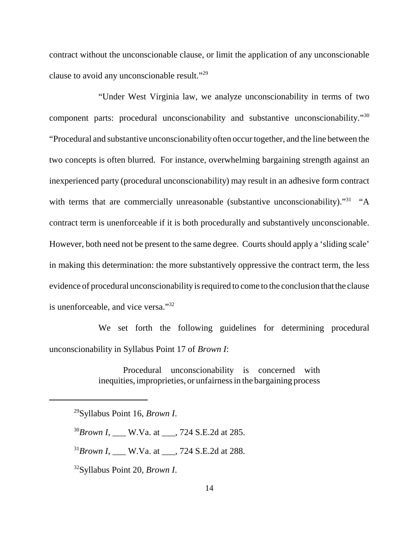contract without the unconscionable clause, or limit the application of any unconscionable clause to avoid any unconscionable result."<sup>29</sup>

 "Under West Virginia law, we analyze unconscionability in terms of two component parts: procedural unconscionability and substantive unconscionability."<sup>30</sup> "Procedural and substantive unconscionability often occur together, and the line between the two concepts is often blurred. For instance, overwhelming bargaining strength against an inexperienced party (procedural unconscionability) may result in an adhesive form contract with terms that are commercially unreasonable (substantive unconscionability). $"^{31}$  "A contract term is unenforceable if it is both procedurally and substantively unconscionable. However, both need not be present to the same degree. Courts should apply a 'sliding scale' in making this determination: the more substantively oppressive the contract term, the less evidence of procedural unconscionability is required to come to the conclusion that the clause is unenforceable, and vice versa."<sup>32</sup>

 We set forth the following guidelines for determining procedural unconscionability in Syllabus Point 17 of *Brown I*:

> Procedural unconscionability is concerned with inequities, improprieties, or unfairness in the bargaining process

<sup>30</sup>*Brown I*, \_\_\_ W.Va. at \_\_\_, 724 S.E.2d at 285.

<sup>31</sup>*Brown I*, \_\_\_ W.Va. at \_\_\_, 724 S.E.2d at 288.

32Syllabus Point 20, *Brown I*.

 29Syllabus Point 16, *Brown I*.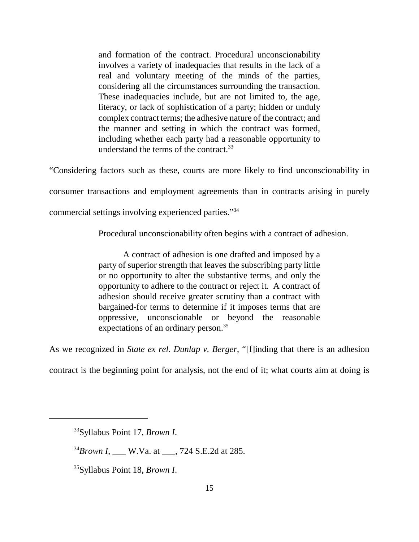and formation of the contract. Procedural unconscionability involves a variety of inadequacies that results in the lack of a real and voluntary meeting of the minds of the parties, considering all the circumstances surrounding the transaction. These inadequacies include, but are not limited to, the age, literacy, or lack of sophistication of a party; hidden or unduly complex contract terms; the adhesive nature of the contract; and the manner and setting in which the contract was formed, including whether each party had a reasonable opportunity to understand the terms of the contract.<sup>33</sup>

"Considering factors such as these, courts are more likely to find unconscionability in

consumer transactions and employment agreements than in contracts arising in purely

commercial settings involving experienced parties."<sup>34</sup>

Procedural unconscionability often begins with a contract of adhesion.

 A contract of adhesion is one drafted and imposed by a party of superior strength that leaves the subscribing party little or no opportunity to alter the substantive terms, and only the opportunity to adhere to the contract or reject it. A contract of adhesion should receive greater scrutiny than a contract with bargained-for terms to determine if it imposes terms that are oppressive, unconscionable or beyond the reasonable expectations of an ordinary person.<sup>35</sup>

As we recognized in *State ex rel. Dunlap v. Berger*, "[f]inding that there is an adhesion

contract is the beginning point for analysis, not the end of it; what courts aim at doing is

34*Brown I*, \_\_\_ W.Va. at \_\_\_, 724 S.E.2d at 285.

35Syllabus Point 18, *Brown I*.

 33Syllabus Point 17, *Brown I*.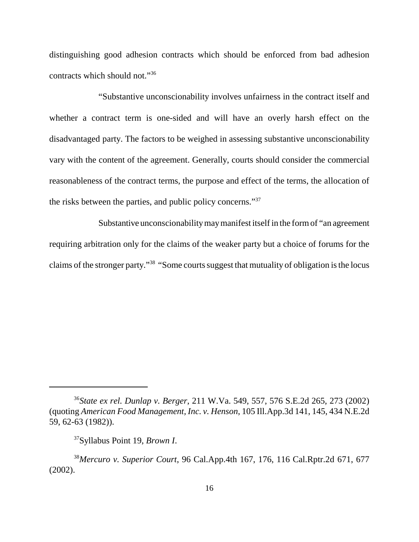distinguishing good adhesion contracts which should be enforced from bad adhesion contracts which should not."36

 "Substantive unconscionability involves unfairness in the contract itself and whether a contract term is one-sided and will have an overly harsh effect on the disadvantaged party. The factors to be weighed in assessing substantive unconscionability vary with the content of the agreement. Generally, courts should consider the commercial reasonableness of the contract terms, the purpose and effect of the terms, the allocation of the risks between the parties, and public policy concerns."<sup>37</sup>

Substantive unconscionability may manifest itself in the form of "an agreement requiring arbitration only for the claims of the weaker party but a choice of forums for the claims of the stronger party."<sup>38</sup> "Some courts suggest that mutuality of obligation is the locus

 <sup>36</sup>*State ex rel. Dunlap v. Berger*, 211 W.Va. 549, 557, 576 S.E.2d 265, 273 (2002)  (quoting *American Food Management, Inc. v. Henson*, 105 Ill.App.3d 141, 145, 434 N.E.2d 59, 62-63 (1982)).

 37Syllabus Point 19, *Brown I*.

 <sup>38</sup>*Mercuro v. Superior Court*, 96 Cal.App.4th 167, 176, 116 Cal.Rptr.2d 671, 677 (2002).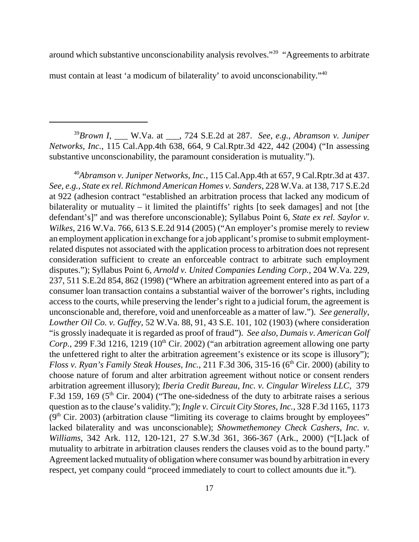around which substantive unconscionability analysis revolves."<sup>39</sup> "Agreements to arbitrate must contain at least 'a modicum of bilaterality' to avoid unconscionability."<sup>40</sup>

 <sup>39</sup>*Brown I*, \_\_\_ W.Va. at \_\_\_, 724 S.E.2d at 287. *See*, *e.g.*, *Abramson v. Juniper Networks, Inc.*, 115 Cal.App.4th 638, 664, 9 Cal.Rptr.3d 422, 442 (2004) ("In assessing substantive unconscionability, the paramount consideration is mutuality.").

<sup>40</sup>Abramson v. Juniper Networks, Inc., 115 Cal.App.4th at 657, 9 Cal.Rptr.3d at 437.  *See, e.g.*, *State ex rel. Richmond American Homes v. Sanders*, 228 W.Va. at 138, 717 S.E.2d at 922 (adhesion contract "established an arbitration process that lacked any modicum of bilaterality or mutuality – it limited the plaintiffs' rights [to seek damages] and not [the defendant's]" and was therefore unconscionable); Syllabus Point 6, *State ex rel. Saylor v. Wilkes*, 216 W.Va. 766, 613 S.E.2d 914 (2005) ("An employer's promise merely to review an employment application in exchange for a job applicant's promise to submit employment- related disputes not associated with the application process to arbitration does not represent consideration sufficient to create an enforceable contract to arbitrate such employment disputes."); Syllabus Point 6, *Arnold v. United Companies Lending Corp.*, 204 W.Va. 229, 237, 511 S.E.2d 854, 862 (1998) ("Where an arbitration agreement entered into as part of a consumer loan transaction contains a substantial waiver of the borrower's rights, including access to the courts, while preserving the lender's right to a judicial forum, the agreement is unconscionable and, therefore, void and unenforceable as a matter of law."). *See generally*,  *Lowther Oil Co. v. Guffey*, 52 W.Va. 88, 91, 43 S.E. 101, 102 (1903) (where consideration "is grossly inadequate it is regarded as proof of fraud"). *See also*, *Dumais v. American Golf*  Corp., 299 F.3d 1216, 1219 (10<sup>th</sup> Cir. 2002) ("an arbitration agreement allowing one party the unfettered right to alter the arbitration agreement's existence or its scope is illusory"); Floss v. Ryan's Family Steak Houses, Inc., 211 F.3d 306, 315-16 (6<sup>th</sup> Cir. 2000) (ability to choose nature of forum and alter arbitration agreement without notice or consent renders arbitration agreement illusory); *Iberia Credit Bureau, Inc. v. Cingular Wireless LLC*, 379 F.3d 159, 169 ( $5<sup>th</sup>$  Cir. 2004) ("The one-sidedness of the duty to arbitrate raises a serious question as to the clause's validity."); *Ingle v. Circuit City Stores, Inc.*, 328 F.3d 1165, 1173  $(9<sup>th</sup> Cir. 2003)$  (arbitration clause "limiting its coverage to claims brought by employees" lacked bilaterality and was unconscionable); *Showmethemoney Check Cashers, Inc. v. Williams*, 342 Ark. 112, 120-121, 27 S.W.3d 361, 366-367 (Ark., 2000) ("[L]ack of mutuality to arbitrate in arbitration clauses renders the clauses void as to the bound party." Agreement lacked mutuality of obligation where consumer was bound by arbitration in every respect, yet company could "proceed immediately to court to collect amounts due it.").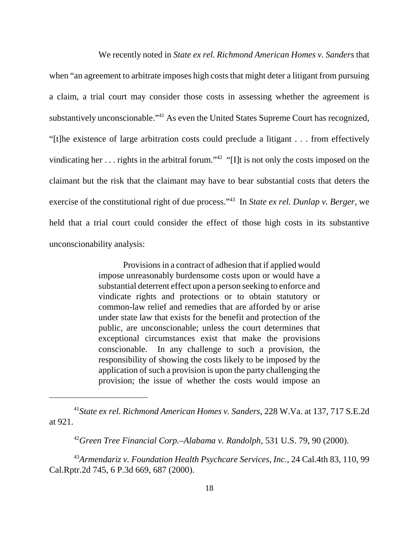We recently noted in *State ex rel. Richmond American Homes v. Sanders* that when "an agreement to arbitrate imposes high costs that might deter a litigant from pursuing a claim, a trial court may consider those costs in assessing whether the agreement is substantively unconscionable."<sup>41</sup> As even the United States Supreme Court has recognized, "[t]he existence of large arbitration costs could preclude a litigant . . . from effectively vindicating her  $\dots$  rights in the arbitral forum."<sup>42</sup> "[I]t is not only the costs imposed on the claimant but the risk that the claimant may have to bear substantial costs that deters the exercise of the constitutional right of due process."43 In *State ex rel. Dunlap v. Berger*, we held that a trial court could consider the effect of those high costs in its substantive unconscionability analysis:

> Provisions in a contract of adhesion that if applied would impose unreasonably burdensome costs upon or would have a substantial deterrent effect upon a person seeking to enforce and vindicate rights and protections or to obtain statutory or common-law relief and remedies that are afforded by or arise under state law that exists for the benefit and protection of the public, are unconscionable; unless the court determines that exceptional circumstances exist that make the provisions conscionable. responsibility of showing the costs likely to be imposed by the application of such a provision is upon the party challenging the provision; the issue of whether the costs would impose an In any challenge to such a provision, the

 <sup>41</sup>*State ex rel. Richmond American Homes v. Sanders*, 228 W.Va. at 137, 717 S.E.2d at 921.

<sup>&</sup>lt;sup>42</sup>Green Tree Financial Corp.–Alabama v. Randolph, 531 U.S. 79, 90 (2000).

 <sup>43</sup>*Armendariz v. Foundation Health Psychcare Services, Inc.*, 24 Cal.4th 83, 110, 99 Cal.Rptr.2d 745, 6 P.3d 669, 687 (2000).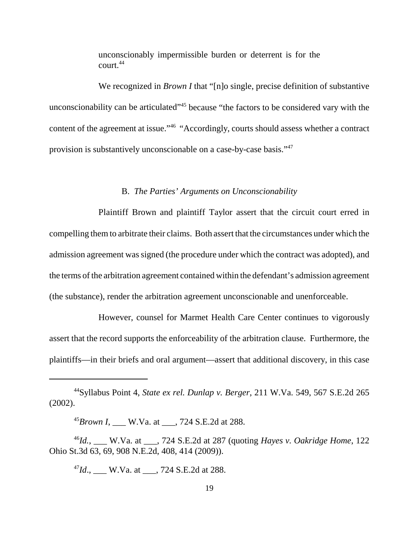unconscionably impermissible burden or deterrent is for the court.44

We recognized in *Brown I* that "[n]o single, precise definition of substantive unconscionability can be articulated<sup>145</sup> because "the factors to be considered vary with the content of the agreement at issue."<sup>46</sup> "Accordingly, courts should assess whether a contract provision is substantively unconscionable on a case-by-case basis."<sup>47</sup>

#### B. *The Parties' Arguments on Unconscionability*

 Plaintiff Brown and plaintiff Taylor assert that the circuit court erred in compelling them to arbitrate their claims. Both assert that the circumstances under which the admission agreement was signed (the procedure under which the contract was adopted), and the terms of the arbitration agreement contained within the defendant's admission agreement (the substance), render the arbitration agreement unconscionable and unenforceable.

 However, counsel for Marmet Health Care Center continues to vigorously assert that the record supports the enforceability of the arbitration clause. Furthermore, the plaintiffs—in their briefs and oral argument—assert that additional discovery, in this case

<sup>45</sup>*Brown I*, \_\_\_ W.Va. at \_\_\_, 724 S.E.2d at 288.

 <sup>46</sup>*Id.*, \_\_\_ W.Va. at \_\_\_, 724 S.E.2d at 287 (quoting *Hayes v. Oakridge Home*, 122 Ohio St.3d 63, 69, 908 N.E.2d, 408, 414 (2009)).

<sup>47</sup>*Id.*, <u>\_\_\_</u> W.Va. at \_\_\_, 724 S.E.2d at 288.

 44Syllabus Point 4, *State ex rel. Dunlap v. Berger*, 211 W.Va. 549, 567 S.E.2d 265 (2002).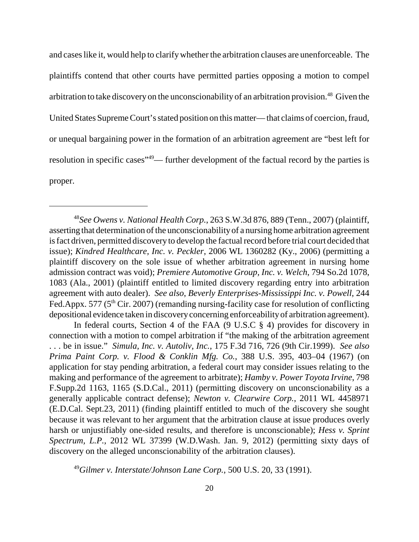and cases like it, would help to clarify whether the arbitration clauses are unenforceable. The plaintiffs contend that other courts have permitted parties opposing a motion to compel arbitration to take discovery on the unconscionability of an arbitration provision.<sup>48</sup> Given the United States Supreme Court's stated position on this matter— that claims of coercion, fraud, or unequal bargaining power in the formation of an arbitration agreement are "best left for resolution in specific cases<sup>"49</sup>— further development of the factual record by the parties is proper.

 In federal courts, Section 4 of the FAA (9 U.S.C § 4) provides for discovery in connection with a motion to compel arbitration if "the making of the arbitration agreement . . . be in issue." *Simula, Inc. v. Autoliv, Inc.*, 175 F.3d 716, 726 (9th Cir.1999). *See also Prima Paint Corp. v. Flood & Conklin Mfg. Co.*, 388 U.S. 395, 403–04 (1967) (on application for stay pending arbitration, a federal court may consider issues relating to the making and performance of the agreement to arbitrate); *Hamby v. Power Toyota Irvine*, 798 F.Supp.2d 1163, 1165 (S.D.Cal., 2011) (permitting discovery on unconscionability as a generally applicable contract defense); *Newton v. Clearwire Corp.*, 2011 WL 4458971 (E.D.Cal. Sept.23, 2011) (finding plaintiff entitled to much of the discovery she sought because it was relevant to her argument that the arbitration clause at issue produces overly harsh or unjustifiably one-sided results, and therefore is unconscionable); *Hess v. Sprint Spectrum, L.P.*, 2012 WL 37399 (W.D.Wash. Jan. 9, 2012) (permitting sixty days of discovery on the alleged unconscionability of the arbitration clauses).

 <sup>49</sup>*Gilmer v. Interstate/Johnson Lane Corp.*, 500 U.S. 20, 33 (1991).

 <sup>48</sup>*See Owens v. National Health Corp.*, 263 S.W.3d 876, 889 (Tenn., 2007) (plaintiff, asserting that determination of the unconscionabilityof a nursing home arbitration agreement is fact driven, permitted discovery to develop the factual record before trial court decided that  issue); *Kindred Healthcare, Inc. v. Peckler*, 2006 WL 1360282 (Ky., 2006) (permitting a plaintiff discovery on the sole issue of whether arbitration agreement in nursing home admission contract was void); *Premiere Automotive Group, Inc. v. Welch*, 794 So.2d 1078, 1083 (Ala., 2001) (plaintiff entitled to limited discovery regarding entry into arbitration agreement with auto dealer). *See also*, *Beverly Enterprises-Mississippi Inc. v. Powell*, 244 Fed.Appx. 577 (5<sup>th</sup> Cir. 2007) (remanding nursing-facility case for resolution of conflicting depositional evidence taken in discoveryconcerning enforceabilityof arbitration agreement).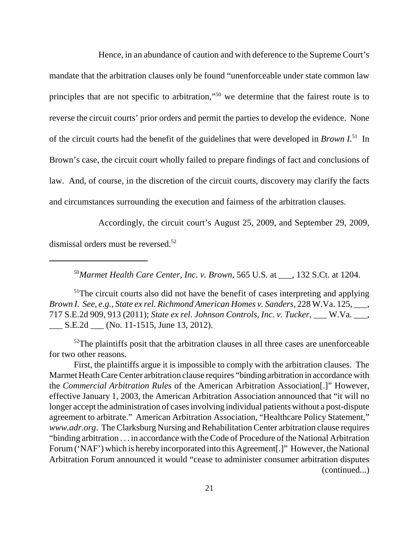Hence, in an abundance of caution and with deference to the Supreme Court's mandate that the arbitration clauses only be found "unenforceable under state common law principles that are not specific to arbitration,"<sup>50</sup> we determine that the fairest route is to reverse the circuit courts' prior orders and permit the parties to develop the evidence. None of the circuit courts had the benefit of the guidelines that were developed in *Brown I*. 51 In Brown's case, the circuit court wholly failed to prepare findings of fact and conclusions of law. And, of course, in the discretion of the circuit courts, discovery may clarify the facts and circumstances surrounding the execution and fairness of the arbitration clauses.

 Accordingly, the circuit court's August 25, 2009, and September 29, 2009, dismissal orders must be reversed.<sup>52</sup>

 <sup>50</sup>*Marmet Health Care Center, Inc. v. Brown*, 565 U.S. at \_\_\_, 132 S.Ct. at 1204.

 $51$ The circuit courts also did not have the benefit of cases interpreting and applying *Brown I. See*, *e.g.*, *State ex rel. Richmond American Homes v. Sanders*, 228 W.Va. 125, \_\_\_, 717 S.E.2d 909, 913 (2011); *State ex rel. Johnson Controls, Inc. v. Tucker*, \_\_\_ W.Va. \_\_\_, \_\_\_ S.E.2d \_\_\_ (No. 11-1515, June 13, 2012).

 $52$ The plaintiffs posit that the arbitration clauses in all three cases are unenforceable for two other reasons.

 First, the plaintiffs argue it is impossible to comply with the arbitration clauses. The Marmet Heath Care Center arbitration clause requires "binding arbitration in accordance with  the *Commercial Arbitration Rules* of the American Arbitration Association[.]" However, effective January 1, 2003, the American Arbitration Association announced that "it will no longer accept the administration of cases involving individual patients without a post-dispute agreement to arbitrate." American Arbitration Association, "Healthcare Policy Statement," *www.adr.org*. The Clarksburg Nursing and Rehabilitation Center arbitration clause requires "binding arbitration . . . in accordance with the Code of Procedure of the National Arbitration Forum ('NAF') which is hereby incorporated into this Agreement[.]" However, the National Arbitration Forum announced it would "cease to administer consumer arbitration disputes (continued...)